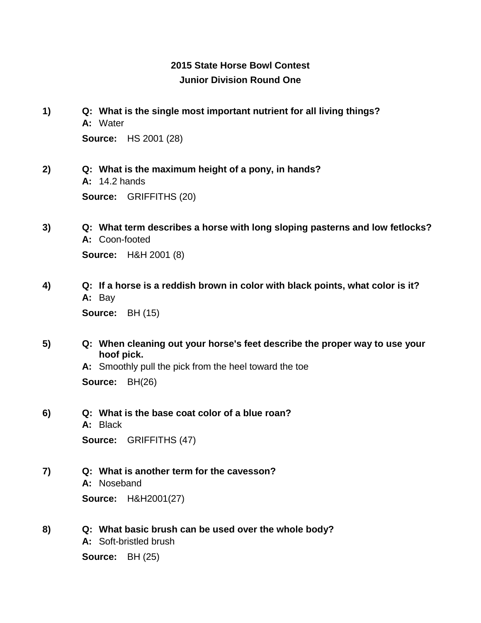## **2015 State Horse Bowl Contest Junior Division Round One**

- **1) Q: What is the single most important nutrient for all living things? A:** Water **Source:** HS 2001 (28)
- **2) Q: What is the maximum height of a pony, in hands? A:** 14.2 hands **Source:** GRIFFITHS (20)
- **3) Q: What term describes a horse with long sloping pasterns and low fetlocks? A:** Coon-footed **Source:** H&H 2001 (8)
- **4) Q: If a horse is a reddish brown in color with black points, what color is it? A:** Bay

**Source:** BH (15)

**5) Q: When cleaning out your horse's feet describe the proper way to use your hoof pick.**

**A:** Smoothly pull the pick from the heel toward the toe **Source:** BH(26)

**6) Q: What is the base coat color of a blue roan? A:** Black **Source:** GRIFFITHS (47)

**7) Q: What is another term for the cavesson? A:** Noseband **Source:** H&H2001(27)

**8) Q: What basic brush can be used over the whole body? A:** Soft-bristled brush

**Source:** BH (25)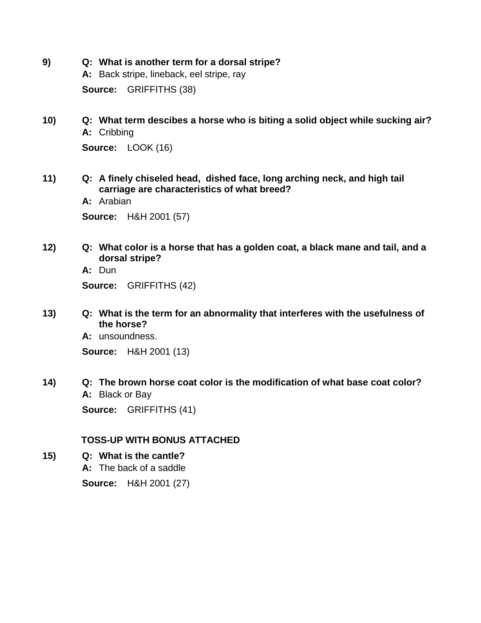- **9) Q: What is another term for a dorsal stripe? A:** Back stripe, lineback, eel stripe, ray **Source:** GRIFFITHS (38)
- **10) Q: What term descibes a horse who is biting a solid object while sucking air? A:** Cribbing **Source:** LOOK (16)

- **11) Q: A finely chiseled head, dished face, long arching neck, and high tail carriage are characteristics of what breed?**
	- **A:** Arabian **Source:** H&H 2001 (57)
- **12) Q: What color is a horse that has a golden coat, a black mane and tail, and a dorsal stripe?**

**A:** Dun

**Source:** GRIFFITHS (42)

**13) Q: What is the term for an abnormality that interferes with the usefulness of the horse?**

**A:** unsoundness.

**Source:** H&H 2001 (13)

**14) Q: The brown horse coat color is the modification of what base coat color? A:** Black or Bay

**Source:** GRIFFITHS (41)

### **TOSS-UP WITH BONUS ATTACHED**

**15) Q: What is the cantle?**

**A:** The back of a saddle

**Source:** H&H 2001 (27)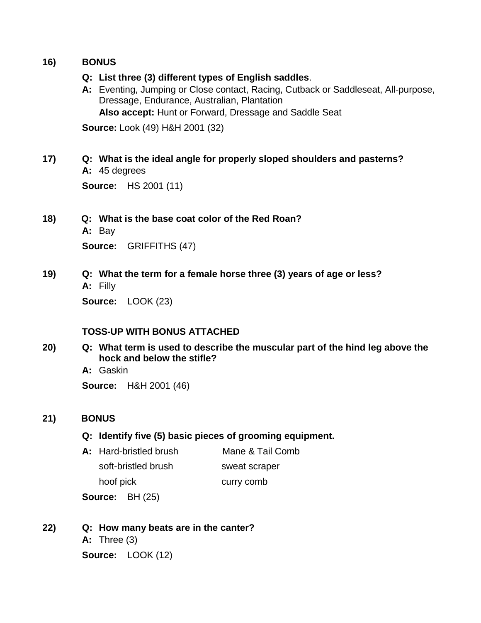### **16) BONUS**

### **Q: List three (3) different types of English saddles**.

**A:** Eventing, Jumping or Close contact, Racing, Cutback or Saddleseat, All-purpose, Dressage, Endurance, Australian, Plantation **Also accept:** Hunt or Forward, Dressage and Saddle Seat

**Source:** Look (49) H&H 2001 (32)

## **17) Q: What is the ideal angle for properly sloped shoulders and pasterns?**

**A:** 45 degrees **Source:** HS 2001 (11)

- **18) Q: What is the base coat color of the Red Roan? A:** Bay **Source:** GRIFFITHS (47)
- **19) Q: What the term for a female horse three (3) years of age or less? A:** Filly

**Source:** LOOK (23)

### **TOSS-UP WITH BONUS ATTACHED**

**20) Q: What term is used to describe the muscular part of the hind leg above the hock and below the stifle?**

**A:** Gaskin

**Source:** H&H 2001 (46)

## **21) BONUS**

### **Q: Identify five (5) basic pieces of grooming equipment.**

**A:** Hard-bristled brush Mane & Tail Comb soft-bristled brush hoof pick sweat scraper curry comb

**Source:** BH (25)

**22) Q: How many beats are in the canter? A:** Three (3) **Source:** LOOK (12)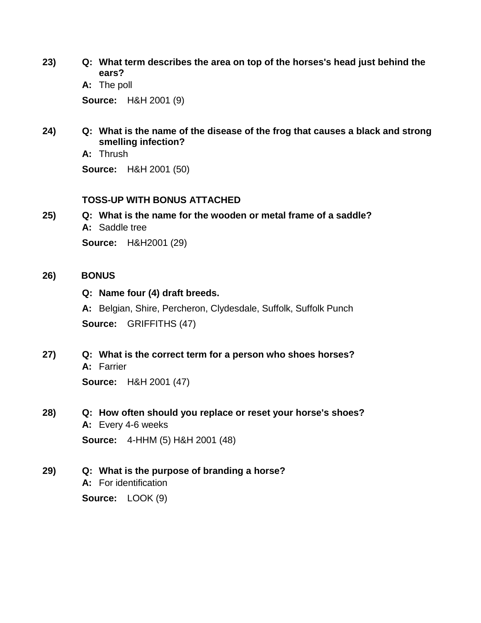**23) Q: What term describes the area on top of the horses's head just behind the ears?**

**A:** The poll **Source:** H&H 2001 (9)

**24) Q: What is the name of the disease of the frog that causes a black and strong smelling infection?**

**A:** Thrush **Source:** H&H 2001 (50)

### **TOSS-UP WITH BONUS ATTACHED**

**25) Q: What is the name for the wooden or metal frame of a saddle? A:** Saddle tree **Source:** H&H2001 (29)

### **26) BONUS**

### **Q: Name four (4) draft breeds.**

**A:** Belgian, Shire, Percheron, Clydesdale, Suffolk, Suffolk Punch **Source:** GRIFFITHS (47)

**27) Q: What is the correct term for a person who shoes horses? A:** Farrier

**Source:** H&H 2001 (47)

**28) Q: How often should you replace or reset your horse's shoes? A:** Every 4-6 weeks

**Source:** 4-HHM (5) H&H 2001 (48)

**29) Q: What is the purpose of branding a horse?**

**A:** For identification

**Source:** LOOK (9)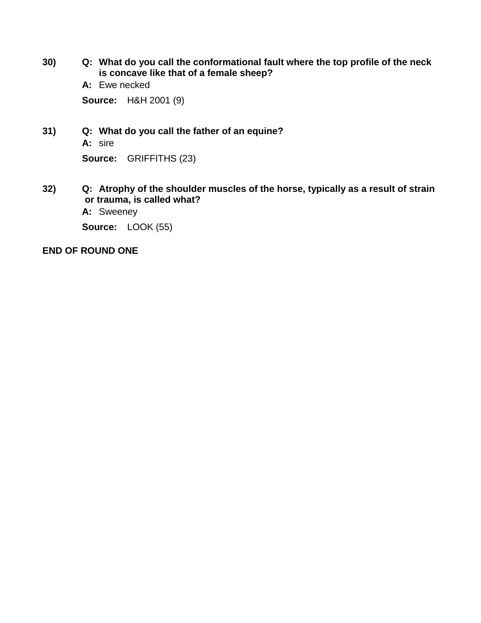- **30) Q: What do you call the conformational fault where the top profile of the neck is concave like that of a female sheep?**
	- **A:** Ewe necked

**Source:** H&H 2001 (9)

- **31) Q: What do you call the father of an equine?**
	- **A:** sire

**Source:** GRIFFITHS (23)

- **32) Q: Atrophy of the shoulder muscles of the horse, typically as a result of strain or trauma, is called what?**
	- **A:** Sweeney

**Source:** LOOK (55)

### **END OF ROUND ONE**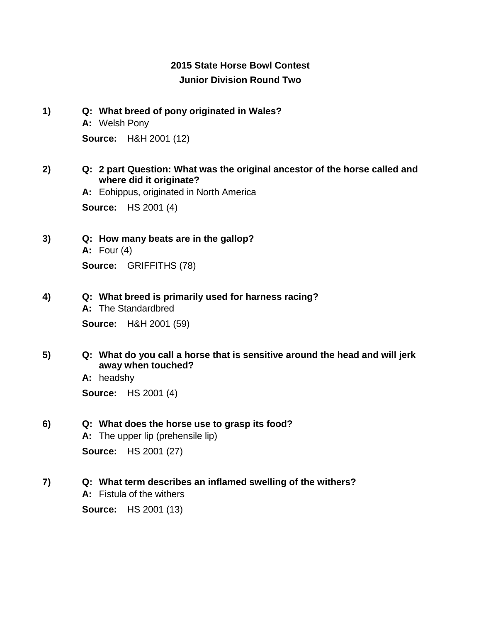## **2015 State Horse Bowl Contest Junior Division Round Two**

**1) Q: What breed of pony originated in Wales? A:** Welsh Pony **Source:** H&H 2001 (12)

### **2) Q: 2 part Question: What was the original ancestor of the horse called and where did it originate?**

**A:** Eohippus, originated in North America **Source:** HS 2001 (4)

- **3) Q: How many beats are in the gallop? A:** Four (4) **Source:** GRIFFITHS (78)
- **4) Q: What breed is primarily used for harness racing?**
	- **A:** The Standardbred

**Source:** H&H 2001 (59)

**5) Q: What do you call a horse that is sensitive around the head and will jerk away when touched?**

> **A:** headshy **Source:** HS 2001 (4)

### **6) Q: What does the horse use to grasp its food?**

**A:** The upper lip (prehensile lip) **Source:** HS 2001 (27)

### **7) Q: What term describes an inflamed swelling of the withers?**

**A:** Fistula of the withers

**Source:** HS 2001 (13)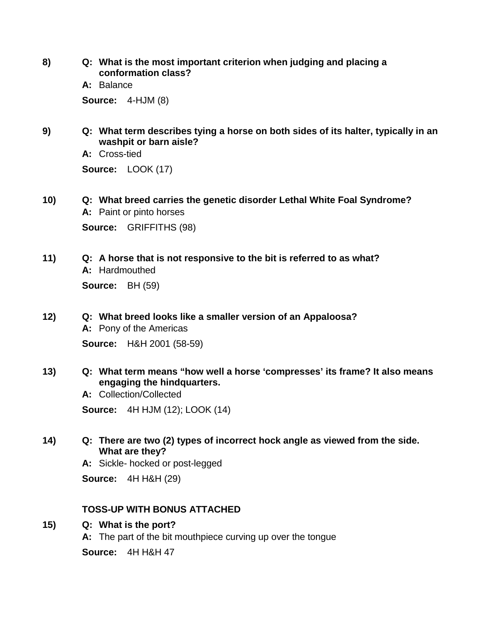**8) Q: What is the most important criterion when judging and placing a conformation class?**

**A:** Balance

**Source:** 4-HJM (8)

**9) Q: What term describes tying a horse on both sides of its halter, typically in an washpit or barn aisle?**

**A:** Cross-tied

**Source:** LOOK (17)

- **10) Q: What breed carries the genetic disorder Lethal White Foal Syndrome? A:** Paint or pinto horses **Source:** GRIFFITHS (98)
- **11) Q: A horse that is not responsive to the bit is referred to as what? A:** Hardmouthed **Source:** BH (59)

# **12) Q: What breed looks like a smaller version of an Appaloosa?**

**A:** Pony of the Americas **Source:** H&H 2001 (58-59)

**13) Q: What term means "how well a horse 'compresses' its frame? It also means engaging the hindquarters.**

**A:** Collection/Collected **Source:** 4H HJM (12); LOOK (14)

**14) Q: There are two (2) types of incorrect hock angle as viewed from the side. What are they?**

**A:** Sickle- hocked or post-legged

**Source:** 4H H&H (29)

## **TOSS-UP WITH BONUS ATTACHED**

**15) Q: What is the port?**

**A:** The part of the bit mouthpiece curving up over the tongue **Source:** 4H H&H 47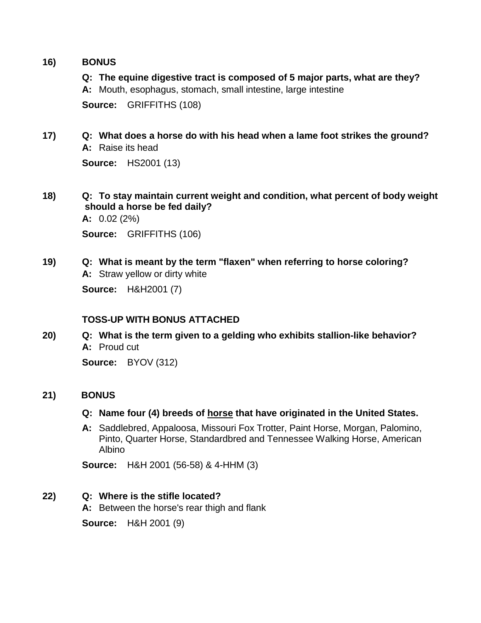### **16) BONUS**

**Q: The equine digestive tract is composed of 5 major parts, what are they?**

**A:** Mouth, esophagus, stomach, small intestine, large intestine

**Source:** GRIFFITHS (108)

**17) Q: What does a horse do with his head when a lame foot strikes the ground? A:** Raise its head

**Source:** HS2001 (13)

**18) Q: To stay maintain current weight and condition, what percent of body weight should a horse be fed daily?**

**A:** 0.02 (2%)

**Source:** GRIFFITHS (106)

**19) Q: What is meant by the term "flaxen" when referring to horse coloring? A:** Straw yellow or dirty white **Source:** H&H2001 (7)

## **TOSS-UP WITH BONUS ATTACHED**

**20) Q: What is the term given to a gelding who exhibits stallion-like behavior? A:** Proud cut

**Source:** BYOV (312)

### **21) BONUS**

### **Q: Name four (4) breeds of horse that have originated in the United States.**

**A:** Saddlebred, Appaloosa, Missouri Fox Trotter, Paint Horse, Morgan, Palomino, Pinto, Quarter Horse, Standardbred and Tennessee Walking Horse, American Albino

**Source:** H&H 2001 (56-58) & 4-HHM (3)

## **22) Q: Where is the stifle located?**

**A:** Between the horse's rear thigh and flank

**Source:** H&H 2001 (9)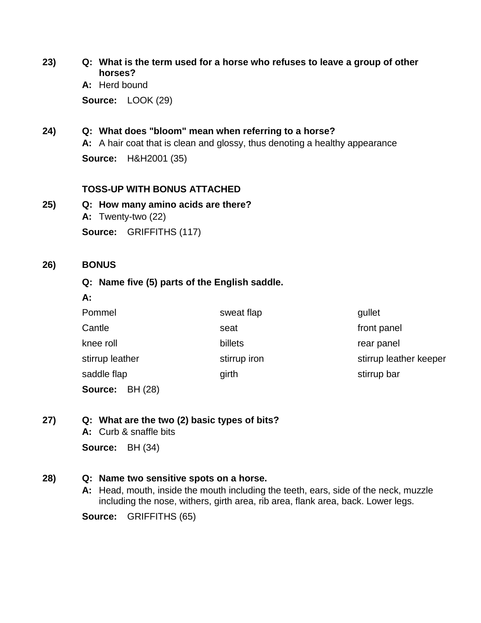**23) Q: What is the term used for a horse who refuses to leave a group of other horses?**

> **A:** Herd bound **Source:** LOOK (29)

**24) Q: What does "bloom" mean when referring to a horse?**

**A:** A hair coat that is clean and glossy, thus denoting a healthy appearance

**Source:** H&H2001 (35)

### **TOSS-UP WITH BONUS ATTACHED**

**25) Q: How many amino acids are there? A:** Twenty-two (22) **Source:** GRIFFITHS (117)

### **26) BONUS**

**A:**

### **Q: Name five (5) parts of the English saddle.**

| Pommel             | sweat flap   | qullet                 |
|--------------------|--------------|------------------------|
| Cantle             | seat         | front panel            |
| knee roll          | billets      | rear panel             |
| stirrup leather    | stirrup iron | stirrup leather keeper |
| saddle flap        | girth        | stirrup bar            |
| BH (28)<br>Source: |              |                        |

**27) Q: What are the two (2) basic types of bits?**

**A:** Curb & snaffle bits **Source:** BH (34)

### **28) Q: Name two sensitive spots on a horse.**

**A:** Head, mouth, inside the mouth including the teeth, ears, side of the neck, muzzle including the nose, withers, girth area, rib area, flank area, back. Lower legs.

**Source:** GRIFFITHS (65)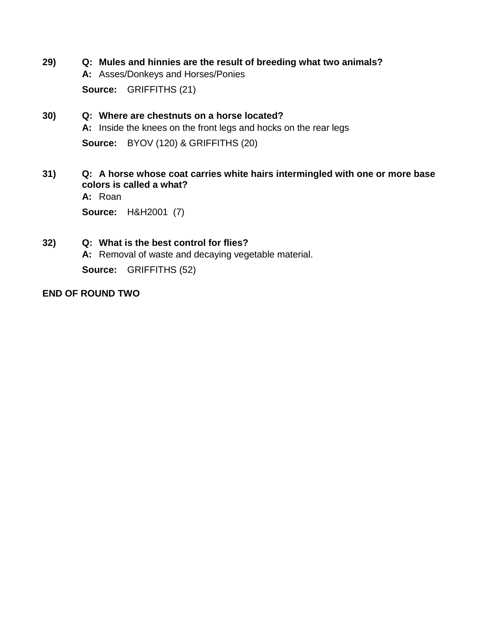- **29) Q: Mules and hinnies are the result of breeding what two animals? A:** Asses/Donkeys and Horses/Ponies **Source:** GRIFFITHS (21)
- **30) Q: Where are chestnuts on a horse located? A:** Inside the knees on the front legs and hocks on the rear legs **Source:** BYOV (120) & GRIFFITHS (20)
- **31) Q: A horse whose coat carries white hairs intermingled with one or more base colors is called a what?**

**A:** Roan

**Source:** H&H2001 (7)

**32) Q: What is the best control for flies? A:** Removal of waste and decaying vegetable material. **Source:** GRIFFITHS (52)

### **END OF ROUND TWO**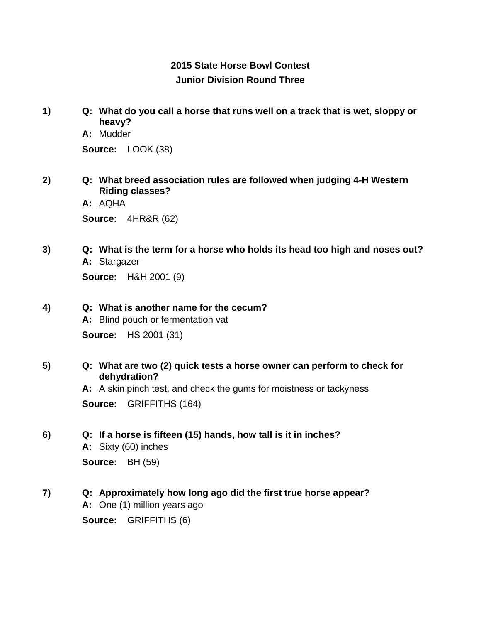## **2015 State Horse Bowl Contest Junior Division Round Three**

- **1) Q: What do you call a horse that runs well on a track that is wet, sloppy or heavy?**
	- **A:** Mudder

**Source:** LOOK (38)

- **2) Q: What breed association rules are followed when judging 4-H Western Riding classes?**
	- **A:** AQHA

**Source:** 4HR&R (62)

**3) Q: What is the term for a horse who holds its head too high and noses out? A:** Stargazer

**Source:** H&H 2001 (9)

**4) Q: What is another name for the cecum?**

**A:** Blind pouch or fermentation vat **Source:** HS 2001 (31)

**5) Q: What are two (2) quick tests a horse owner can perform to check for dehydration?**

> **A:** A skin pinch test, and check the gums for moistness or tackyness **Source:** GRIFFITHS (164)

**6) Q: If a horse is fifteen (15) hands, how tall is it in inches?**

**A:** Sixty (60) inches **Source:** BH (59)

**7) Q: Approximately how long ago did the first true horse appear? A:** One (1) million years ago **Source:** GRIFFITHS (6)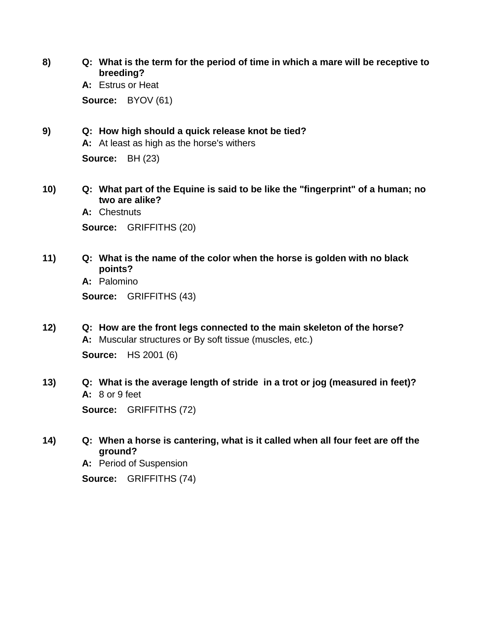**8) Q: What is the term for the period of time in which a mare will be receptive to breeding?**

**A:** Estrus or Heat **Source:** BYOV (61)

#### **9) Q: How high should a quick release knot be tied?**

**A:** At least as high as the horse's withers

**Source:** BH (23)

**10) Q: What part of the Equine is said to be like the "fingerprint" of a human; no two are alike?**

**A:** Chestnuts **Source:** GRIFFITHS (20)

**11) Q: What is the name of the color when the horse is golden with no black points?**

**A:** Palomino **Source:** GRIFFITHS (43)

- **12) Q: How are the front legs connected to the main skeleton of the horse? A:** Muscular structures or By soft tissue (muscles, etc.) **Source:** HS 2001 (6)
- **13) Q: What is the average length of stride in a trot or jog (measured in feet)? A:** 8 or 9 feet

**Source:** GRIFFITHS (72)

**14) Q: When a horse is cantering, what is it called when all four feet are off the ground?**

**A:** Period of Suspension

**Source:** GRIFFITHS (74)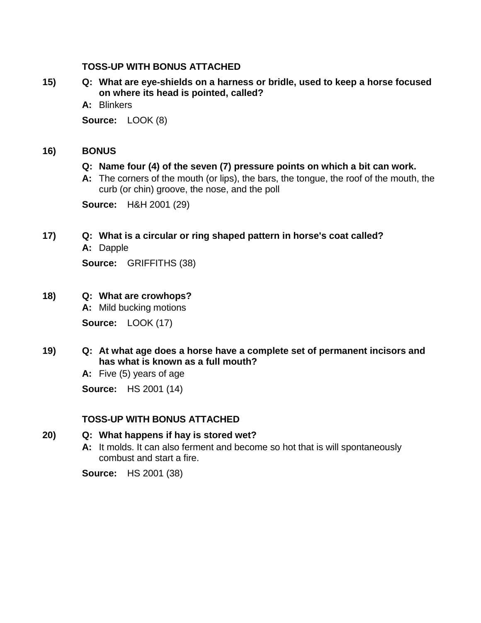### **TOSS-UP WITH BONUS ATTACHED**

- **15) Q: What are eye-shields on a harness or bridle, used to keep a horse focused on where its head is pointed, called?**
	- **A:** Blinkers

**Source:** LOOK (8)

### **16) BONUS**

### **Q: Name four (4) of the seven (7) pressure points on which a bit can work.**

**A:** The corners of the mouth (or lips), the bars, the tongue, the roof of the mouth, the curb (or chin) groove, the nose, and the poll

**Source:** H&H 2001 (29)

### **17) Q: What is a circular or ring shaped pattern in horse's coat called?**

**A:** Dapple

**Source:** GRIFFITHS (38)

### **18) Q: What are crowhops?**

**A:** Mild bucking motions

**Source:** LOOK (17)

### **19) Q: At what age does a horse have a complete set of permanent incisors and has what is known as a full mouth?**

**A:** Five (5) years of age

**Source:** HS 2001 (14)

### **TOSS-UP WITH BONUS ATTACHED**

### **20) Q: What happens if hay is stored wet?**

**A:** It molds. It can also ferment and become so hot that is will spontaneously combust and start a fire.

**Source:** HS 2001 (38)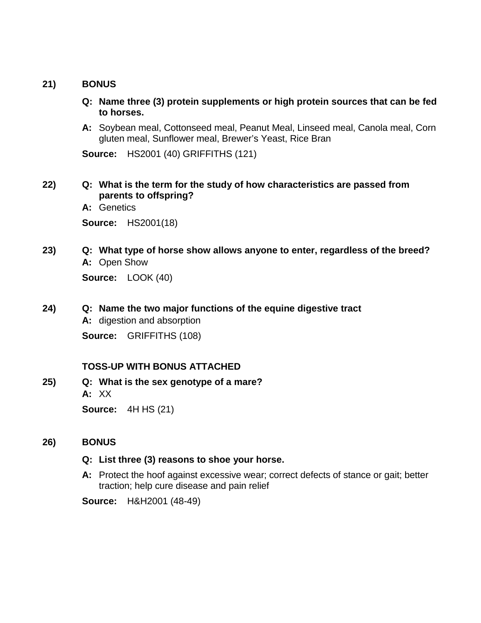### **21) BONUS**

- **Q: Name three (3) protein supplements or high protein sources that can be fed to horses.**
- **A:** Soybean meal, Cottonseed meal, Peanut Meal, Linseed meal, Canola meal, Corn gluten meal, Sunflower meal, Brewer's Yeast, Rice Bran

**Source:** HS2001 (40) GRIFFITHS (121)

- **22) Q: What is the term for the study of how characteristics are passed from parents to offspring?**
	- **A:** Genetics

**Source:** HS2001(18)

**23) Q: What type of horse show allows anyone to enter, regardless of the breed? A:** Open Show

**Source:** LOOK (40)

**24) Q: Name the two major functions of the equine digestive tract**

**A:** digestion and absorption

**Source:** GRIFFITHS (108)

### **TOSS-UP WITH BONUS ATTACHED**

**25) Q: What is the sex genotype of a mare? A:** XX **Source:** 4H HS (21)

### **26) BONUS**

### **Q: List three (3) reasons to shoe your horse.**

**A:** Protect the hoof against excessive wear; correct defects of stance or gait; better traction; help cure disease and pain relief

**Source:** H&H2001 (48-49)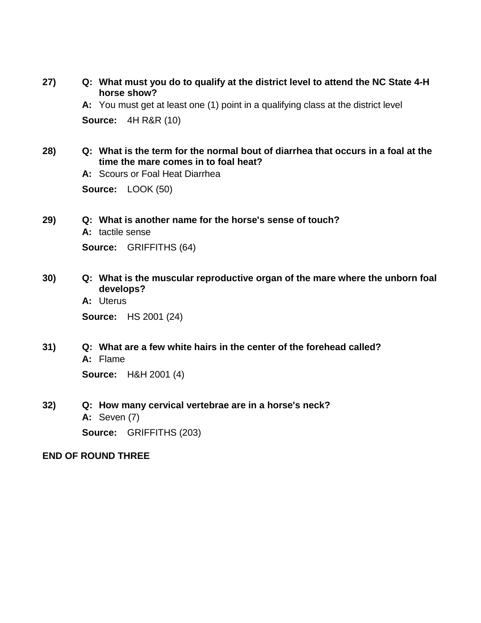**27) Q: What must you do to qualify at the district level to attend the NC State 4-H horse show?**

**A:** You must get at least one (1) point in a qualifying class at the district level

**Source:** 4H R&R (10)

**28) Q: What is the term for the normal bout of diarrhea that occurs in a foal at the time the mare comes in to foal heat?**

**A:** Scours or Foal Heat Diarrhea

**Source:** LOOK (50)

**29) Q: What is another name for the horse's sense of touch?**

**A:** tactile sense

**Source:** GRIFFITHS (64)

- **30) Q: What is the muscular reproductive organ of the mare where the unborn foal develops?**
	- **A:** Uterus

**Source:** HS 2001 (24)

**31) Q: What are a few white hairs in the center of the forehead called? A:** Flame

**Source:** H&H 2001 (4)

**32) Q: How many cervical vertebrae are in a horse's neck? A:** Seven (7) **Source:** GRIFFITHS (203)

#### **END OF ROUND THREE**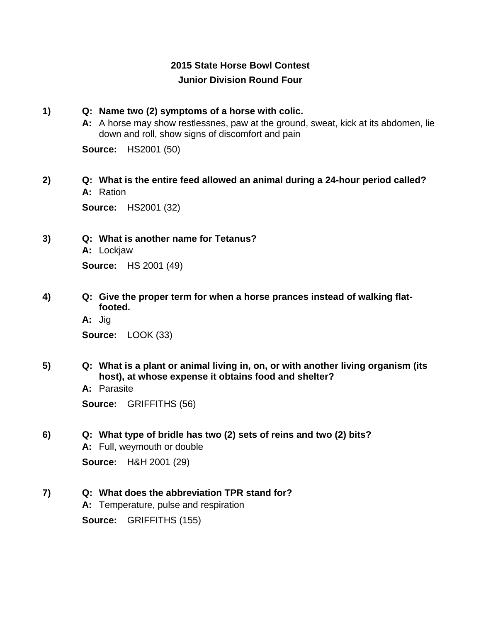## **2015 State Horse Bowl Contest Junior Division Round Four**

### **1) Q: Name two (2) symptoms of a horse with colic.**

**A:** A horse may show restlessnes, paw at the ground, sweat, kick at its abdomen, lie down and roll, show signs of discomfort and pain

**Source:** HS2001 (50)

## **2) Q: What is the entire feed allowed an animal during a 24-hour period called? A:** Ration

**Source:** HS2001 (32)

**3) Q: What is another name for Tetanus?**

**A:** Lockjaw **Source:** HS 2001 (49)

- **4) Q: Give the proper term for when a horse prances instead of walking flatfooted.**
	- **A:** Jig **Source:** LOOK (33)
- **5) Q: What is a plant or animal living in, on, or with another living organism (its host), at whose expense it obtains food and shelter?**
	- **A:** Parasite

**Source:** GRIFFITHS (56)

### **6) Q: What type of bridle has two (2) sets of reins and two (2) bits?**

**A:** Full, weymouth or double **Source:** H&H 2001 (29)

### **7) Q: What does the abbreviation TPR stand for?**

**A:** Temperature, pulse and respiration

**Source:** GRIFFITHS (155)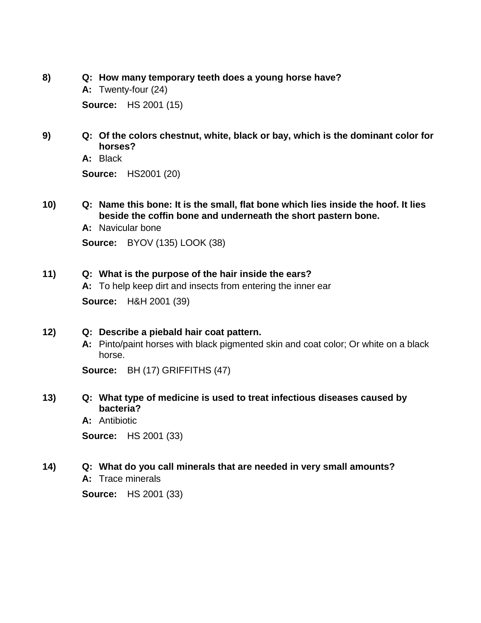- **8) Q: How many temporary teeth does a young horse have?**
	- **A:** Twenty-four (24)

**Source:** HS 2001 (15)

**9) Q: Of the colors chestnut, white, black or bay, which is the dominant color for horses?**

**A:** Black

**Source:** HS2001 (20)

- **10) Q: Name this bone: It is the small, flat bone which lies inside the hoof. It lies beside the coffin bone and underneath the short pastern bone.**
	- **A:** Navicular bone **Source:** BYOV (135) LOOK (38)

### **11) Q: What is the purpose of the hair inside the ears?**

**A:** To help keep dirt and insects from entering the inner ear

**Source:** H&H 2001 (39)

### **12) Q: Describe a piebald hair coat pattern.**

**A:** Pinto/paint horses with black pigmented skin and coat color; Or white on a black horse.

**Source:** BH (17) GRIFFITHS (47)

### **13) Q: What type of medicine is used to treat infectious diseases caused by bacteria?**

**A:** Antibiotic

**Source:** HS 2001 (33)

#### **14) Q: What do you call minerals that are needed in very small amounts? A:** Trace minerals

**Source:** HS 2001 (33)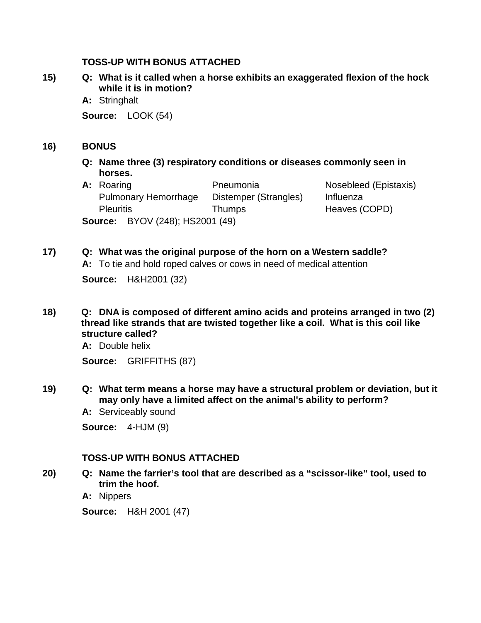### **TOSS-UP WITH BONUS ATTACHED**

- **15) Q: What is it called when a horse exhibits an exaggerated flexion of the hock while it is in motion?**
	- **A:** Stringhalt

**Source:** LOOK (54)

### **16) BONUS**

- **Q: Name three (3) respiratory conditions or diseases commonly seen in horses.**
- A: Roaring **A: Roaring Pneumonia** Nosebleed (Epistaxis) Pulmonary Hemorrhage Distemper (Strangles) Influenza Pleuritis Thumps Heaves (COPD) **Source:** BYOV (248); HS2001 (49)

## **17) Q: What was the original purpose of the horn on a Western saddle?**

**A:** To tie and hold roped calves or cows in need of medical attention

**Source:** H&H2001 (32)

**18) Q: DNA is composed of different amino acids and proteins arranged in two (2) thread like strands that are twisted together like a coil. What is this coil like structure called?**

**A:** Double helix

**Source:** GRIFFITHS (87)

- **19) Q: What term means a horse may have a structural problem or deviation, but it may only have a limited affect on the animal's ability to perform?**
	- **A:** Serviceably sound

**Source:** 4-HJM (9)

### **TOSS-UP WITH BONUS ATTACHED**

**20) Q: Name the farrier's tool that are described as a "scissor-like" tool, used to trim the hoof.**

**A:** Nippers

**Source:** H&H 2001 (47)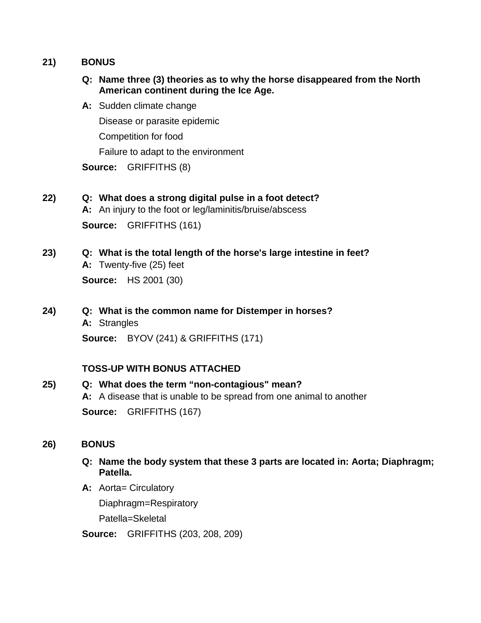### **21) BONUS**

- **Q: Name three (3) theories as to why the horse disappeared from the North American continent during the Ice Age.**
- **A:** Sudden climate change

Disease or parasite epidemic

Competition for food

Failure to adapt to the environment

**Source:** GRIFFITHS (8)

## **22) Q: What does a strong digital pulse in a foot detect?**

**A:** An injury to the foot or leg/laminitis/bruise/abscess **Source:** GRIFFITHS (161)

- **23) Q: What is the total length of the horse's large intestine in feet? A:** Twenty-five (25) feet **Source:** HS 2001 (30)
- **24) Q: What is the common name for Distemper in horses? A:** Strangles

**Source:** BYOV (241) & GRIFFITHS (171)

## **TOSS-UP WITH BONUS ATTACHED**

## **25) Q: What does the term "non-contagious" mean? A:** A disease that is unable to be spread from one animal to another **Source:** GRIFFITHS (167)

### **26) BONUS**

### **Q: Name the body system that these 3 parts are located in: Aorta; Diaphragm; Patella.**

A: Aorta= Circulatory

Diaphragm=Respiratory

Patella=Skeletal

**Source:** GRIFFITHS (203, 208, 209)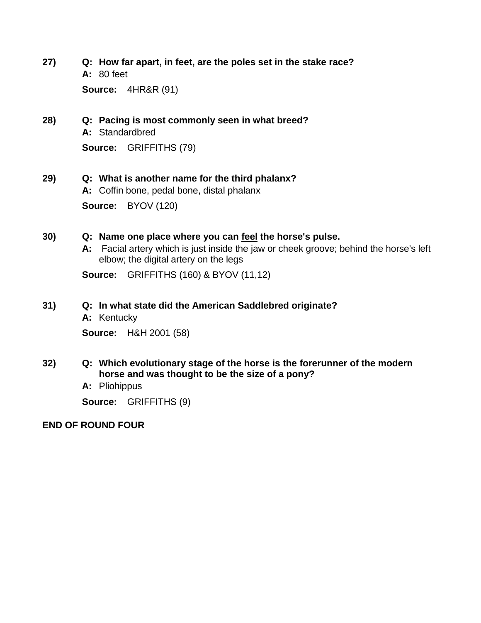**27) Q: How far apart, in feet, are the poles set in the stake race? A:** 80 feet

**Source:** 4HR&R (91)

## **28) Q: Pacing is most commonly seen in what breed? A:** Standardbred **Source:** GRIFFITHS (79)

### **29) Q: What is another name for the third phalanx?**

**A:** Coffin bone, pedal bone, distal phalanx **Source:** BYOV (120)

### **30) Q: Name one place where you can feel the horse's pulse.**

**A:** Facial artery which is just inside the jaw or cheek groove; behind the horse's left elbow; the digital artery on the legs

**Source:** GRIFFITHS (160) & BYOV (11,12)

### **31) Q: In what state did the American Saddlebred originate?**

**A:** Kentucky

**Source:** H&H 2001 (58)

- **32) Q: Which evolutionary stage of the horse is the forerunner of the modern horse and was thought to be the size of a pony?**
	- **A:** Pliohippus

**Source:** GRIFFITHS (9)

**END OF ROUND FOUR**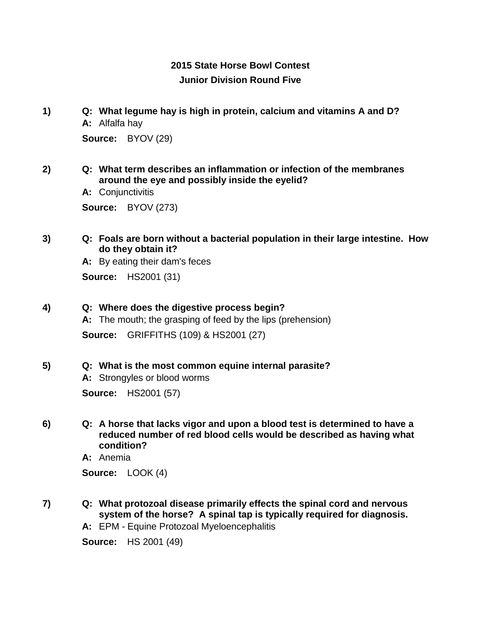## **2015 State Horse Bowl Contest Junior Division Round Five**

- **1) Q: What legume hay is high in protein, calcium and vitamins A and D? A:** Alfalfa hay **Source:** BYOV (29)
- **2) Q: What term describes an inflammation or infection of the membranes around the eye and possibly inside the eyelid?**

**A:** Conjunctivitis

**Source:** BYOV (273)

**3) Q: Foals are born without a bacterial population in their large intestine. How do they obtain it?**

**A:** By eating their dam's feces

**Source:** HS2001 (31)

### **4) Q: Where does the digestive process begin?**

**A:** The mouth; the grasping of feed by the lips (prehension) **Source:** GRIFFITHS (109) & HS2001 (27)

#### **5) Q: What is the most common equine internal parasite?**

**A:** Strongyles or blood worms **Source:** HS2001 (57)

**6) Q: A horse that lacks vigor and upon a blood test is determined to have a reduced number of red blood cells would be described as having what condition?**

**A:** Anemia

**Source:** LOOK (4)

**7) Q: What protozoal disease primarily effects the spinal cord and nervous system of the horse? A spinal tap is typically required for diagnosis.**

**A:** EPM - Equine Protozoal Myeloencephalitis

**Source:** HS 2001 (49)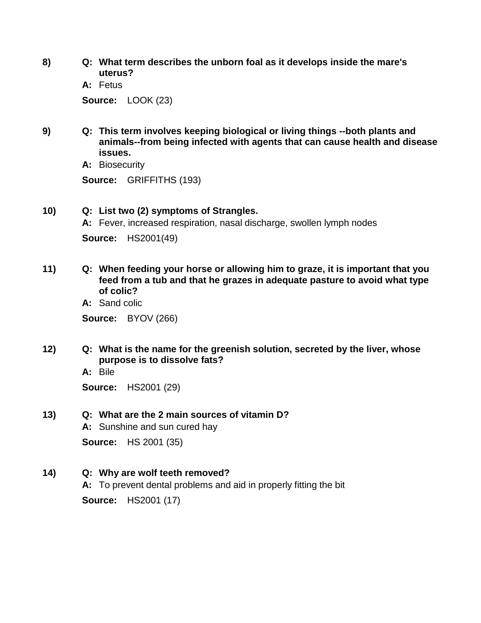- **8) Q: What term describes the unborn foal as it develops inside the mare's uterus?**
	- **A:** Fetus **Source:** LOOK (23)
- **9) Q: This term involves keeping biological or living things --both plants and animals--from being infected with agents that can cause health and disease issues.**

**A:** Biosecurity

**Source:** GRIFFITHS (193)

### **10) Q: List two (2) symptoms of Strangles.**

**A:** Fever, increased respiration, nasal discharge, swollen lymph nodes **Source:** HS2001(49)

- **11) Q: When feeding your horse or allowing him to graze, it is important that you feed from a tub and that he grazes in adequate pasture to avoid what type of colic?**
	- **A:** Sand colic

**Source:** BYOV (266)

- **12) Q: What is the name for the greenish solution, secreted by the liver, whose purpose is to dissolve fats?**
	- **A:** Bile

**Source:** HS2001 (29)

### **13) Q: What are the 2 main sources of vitamin D?**

**A:** Sunshine and sun cured hay

**Source:** HS 2001 (35)

**14) Q: Why are wolf teeth removed?**

**A:** To prevent dental problems and aid in properly fitting the bit **Source:** HS2001 (17)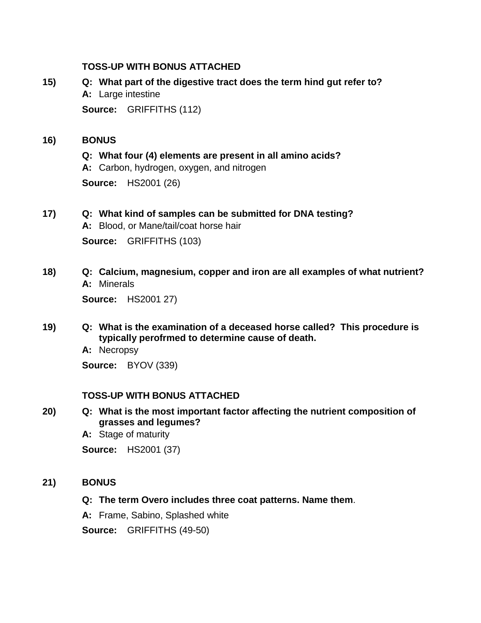### **TOSS-UP WITH BONUS ATTACHED**

## **15) Q: What part of the digestive tract does the term hind gut refer to? A:** Large intestine **Source:** GRIFFITHS (112)

#### **16) BONUS**

**Q: What four (4) elements are present in all amino acids?**

**A:** Carbon, hydrogen, oxygen, and nitrogen

**Source:** HS2001 (26)

## **17) Q: What kind of samples can be submitted for DNA testing?**

**A:** Blood, or Mane/tail/coat horse hair

**Source:** GRIFFITHS (103)

**18) Q: Calcium, magnesium, copper and iron are all examples of what nutrient? A:** Minerals

**Source:** HS2001 27)

**19) Q: What is the examination of a deceased horse called? This procedure is typically perofrmed to determine cause of death.**

**A:** Necropsy

**Source:** BYOV (339)

### **TOSS-UP WITH BONUS ATTACHED**

- **20) Q: What is the most important factor affecting the nutrient composition of grasses and legumes?**
	- **A:** Stage of maturity

**Source:** HS2001 (37)

### **21) BONUS**

- **Q: The term Overo includes three coat patterns. Name them**.
- **A:** Frame, Sabino, Splashed white

**Source:** GRIFFITHS (49-50)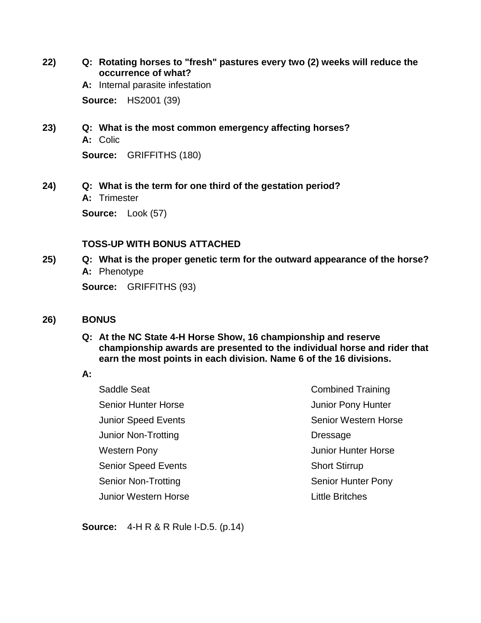**22) Q: Rotating horses to "fresh" pastures every two (2) weeks will reduce the occurrence of what?**

**A:** Internal parasite infestation

**Source:** HS2001 (39)

**23) Q: What is the most common emergency affecting horses? A:** Colic

**Source:** GRIFFITHS (180)

**24) Q: What is the term for one third of the gestation period? A:** Trimester

**Source:** Look (57)

### **TOSS-UP WITH BONUS ATTACHED**

**25) Q: What is the proper genetic term for the outward appearance of the horse? A:** Phenotype

**Source:** GRIFFITHS (93)

- **26) BONUS**
	- **Q: At the NC State 4-H Horse Show, 16 championship and reserve championship awards are presented to the individual horse and rider that earn the most points in each division. Name 6 of the 16 divisions.**

### **A:**

Saddle Seat Senior Hunter Horse Junior Speed Events Junior Non-Trotting Western Pony Senior Speed Events Senior Non-Trotting Junior Western Horse Combined Training Junior Pony Hunter Senior Western Horse Dressage Junior Hunter Horse Short Stirrup Senior Hunter Pony Little Britches

**Source:** 4-H R & R Rule I-D.5. (p.14)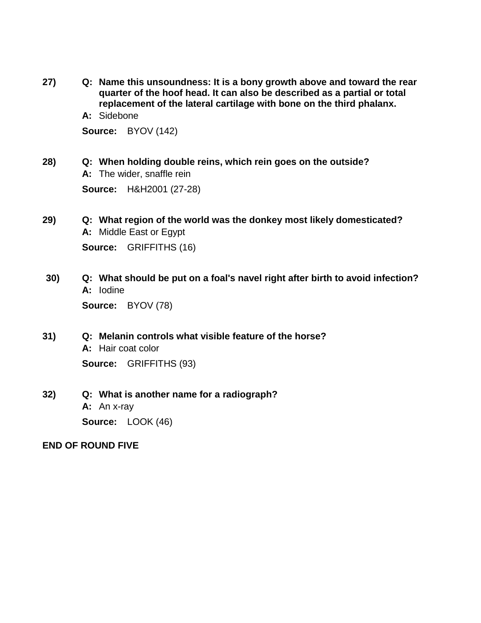**27) Q: Name this unsoundness: It is a bony growth above and toward the rear quarter of the hoof head. It can also be described as a partial or total replacement of the lateral cartilage with bone on the third phalanx.**

**A:** Sidebone

**Source:** BYOV (142)

**28) Q: When holding double reins, which rein goes on the outside? A:** The wider, snaffle rein **Source:** H&H2001 (27-28)

- **29) Q: What region of the world was the donkey most likely domesticated? A:** Middle East or Egypt **Source:** GRIFFITHS (16)
- **30) Q: What should be put on a foal's navel right after birth to avoid infection? A:** Iodine

**Source:** BYOV (78)

- **31) Q: Melanin controls what visible feature of the horse? A:** Hair coat color **Source:** GRIFFITHS (93)
- **32) Q: What is another name for a radiograph? A:** An x-ray **Source:** LOOK (46)

### **END OF ROUND FIVE**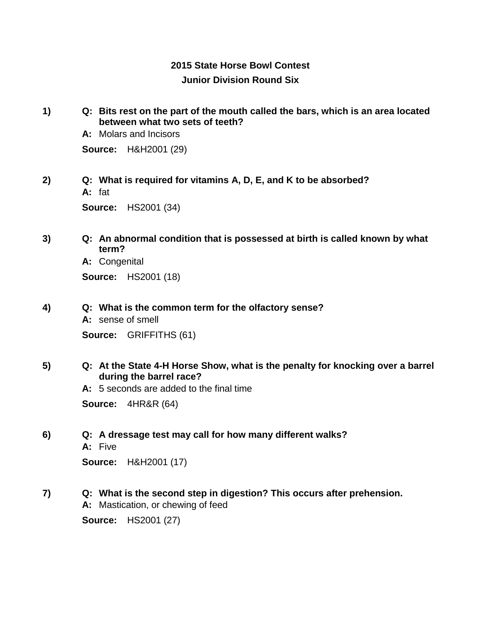## **2015 State Horse Bowl Contest Junior Division Round Six**

**1) Q: Bits rest on the part of the mouth called the bars, which is an area located between what two sets of teeth?**

**A:** Molars and Incisors

**Source:** H&H2001 (29)

**2) Q: What is required for vitamins A, D, E, and K to be absorbed? A:** fat

**Source:** HS2001 (34)

**3) Q: An abnormal condition that is possessed at birth is called known by what term?**

**A:** Congenital

**Source:** HS2001 (18)

**4) Q: What is the common term for the olfactory sense?**

**A:** sense of smell **Source:** GRIFFITHS (61)

**5) Q: At the State 4-H Horse Show, what is the penalty for knocking over a barrel during the barrel race?**

**A:** 5 seconds are added to the final time

**Source:** 4HR&R (64)

**6) Q: A dressage test may call for how many different walks?**

**A:** Five

**Source:** H&H2001 (17)

**7) Q: What is the second step in digestion? This occurs after prehension.**

**A:** Mastication, or chewing of feed

**Source:** HS2001 (27)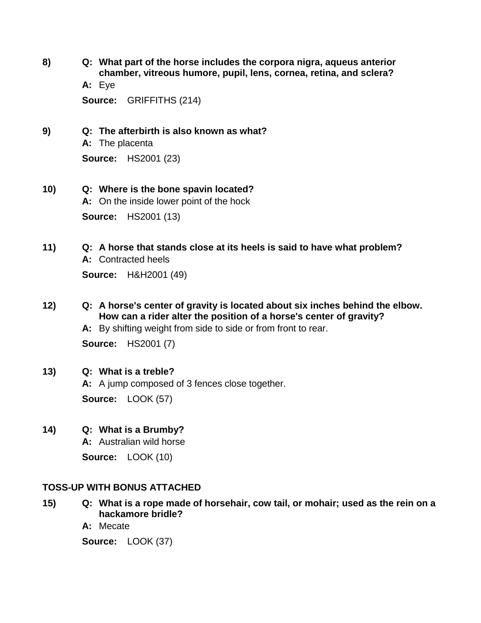**8) Q: What part of the horse includes the corpora nigra, aqueus anterior chamber, vitreous humore, pupil, lens, cornea, retina, and sclera?**

**A:** Eye

**Source:** GRIFFITHS (214)

**9) Q: The afterbirth is also known as what?**

**A:** The placenta

**Source:** HS2001 (23)

- **10) Q: Where is the bone spavin located? A:** On the inside lower point of the hock **Source:** HS2001 (13)
- **11) Q: A horse that stands close at its heels is said to have what problem? A:** Contracted heels

**Source:** H&H2001 (49)

**12) Q: A horse's center of gravity is located about six inches behind the elbow. How can a rider alter the position of a horse's center of gravity?**

**A:** By shifting weight from side to side or from front to rear.

**Source:** HS2001 (7)

**13) Q: What is a treble?**

**A:** A jump composed of 3 fences close together. **Source:** LOOK (57)

**14) Q: What is a Brumby?**

**A:** Australian wild horse

**Source:** LOOK (10)

## **TOSS-UP WITH BONUS ATTACHED**

- **15) Q: What is a rope made of horsehair, cow tail, or mohair; used as the rein on a hackamore bridle?**
	- **A:** Mecate

**Source:** LOOK (37)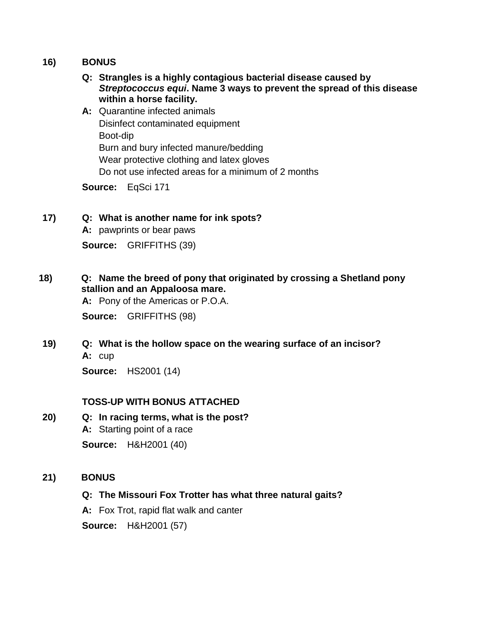### **16) BONUS**

- **Q: Strangles is a highly contagious bacterial disease caused by**  *Streptococcus equi***. Name 3 ways to prevent the spread of this disease within a horse facility.**
- **A:** Quarantine infected animals Disinfect contaminated equipment Boot-dip Burn and bury infected manure/bedding Wear protective clothing and latex gloves Do not use infected areas for a minimum of 2 months

**Source:** EqSci 171

### **17) Q: What is another name for ink spots?**

**A:** pawprints or bear paws

**Source:** GRIFFITHS (39)

### **18) Q: Name the breed of pony that originated by crossing a Shetland pony stallion and an Appaloosa mare.**

**A:** Pony of the Americas or P.O.A.

**Source:** GRIFFITHS (98)

**19) Q: What is the hollow space on the wearing surface of an incisor? A:** cup

**Source:** HS2001 (14)

### **TOSS-UP WITH BONUS ATTACHED**

## **20) Q: In racing terms, what is the post? A:** Starting point of a race

**Source:** H&H2001 (40)

### **21) BONUS**

### **Q: The Missouri Fox Trotter has what three natural gaits?**

**A:** Fox Trot, rapid flat walk and canter

**Source:** H&H2001 (57)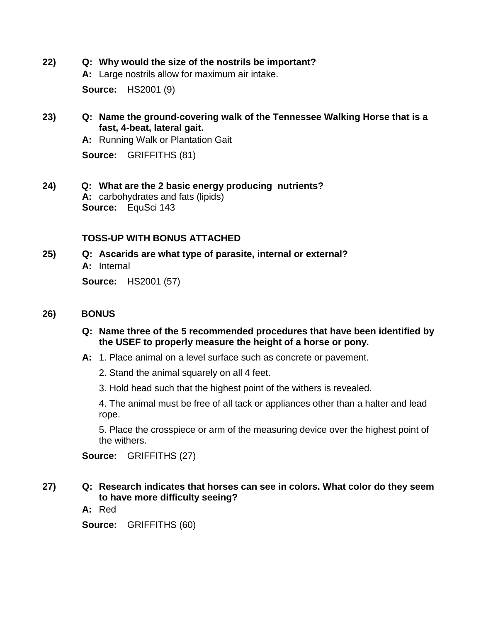- **22) Q: Why would the size of the nostrils be important?**
	- **A:** Large nostrils allow for maximum air intake.

**Source:** HS2001 (9)

### **23) Q: Name the ground-covering walk of the Tennessee Walking Horse that is a fast, 4-beat, lateral gait.**

**A:** Running Walk or Plantation Gait

**Source:** GRIFFITHS (81)

**24) Q: What are the 2 basic energy producing nutrients? A:** carbohydrates and fats (lipids) **Source:** EquSci 143

### **TOSS-UP WITH BONUS ATTACHED**

**25) Q: Ascarids are what type of parasite, internal or external? A:** Internal **Source:** HS2001 (57)

**26) BONUS**

- **Q: Name three of the 5 recommended procedures that have been identified by the USEF to properly measure the height of a horse or pony.**
- **A:** 1. Place animal on a level surface such as concrete or pavement.
	- 2. Stand the animal squarely on all 4 feet.
	- 3. Hold head such that the highest point of the withers is revealed.

4. The animal must be free of all tack or appliances other than a halter and lead rope.

5. Place the crosspiece or arm of the measuring device over the highest point of the withers.

**Source:** GRIFFITHS (27)

### **27) Q: Research indicates that horses can see in colors. What color do they seem to have more difficulty seeing?**

**A:** Red

**Source:** GRIFFITHS (60)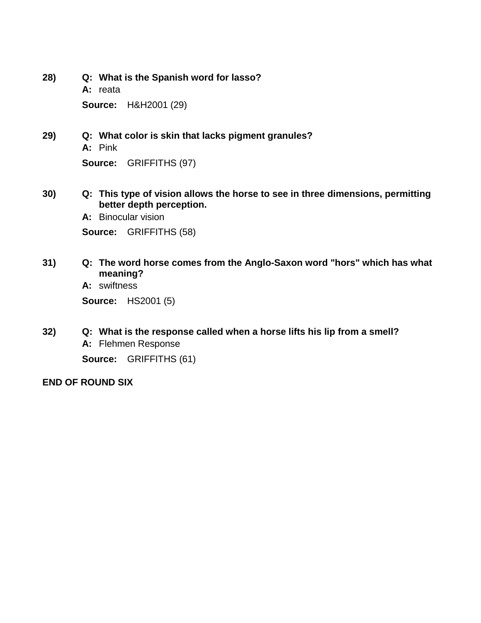- **28) Q: What is the Spanish word for lasso? A:** reata **Source:** H&H2001 (29)
- **29) Q: What color is skin that lacks pigment granules? A:** Pink **Source:** GRIFFITHS (97)
- **30) Q: This type of vision allows the horse to see in three dimensions, permitting better depth perception.**

**A:** Binocular vision

**Source:** GRIFFITHS (58)

**31) Q: The word horse comes from the Anglo-Saxon word "hors" which has what meaning?**

**A:** swiftness

**Source:** HS2001 (5)

**32) Q: What is the response called when a horse lifts his lip from a smell? A:** Flehmen Response **Source:** GRIFFITHS (61)

### **END OF ROUND SIX**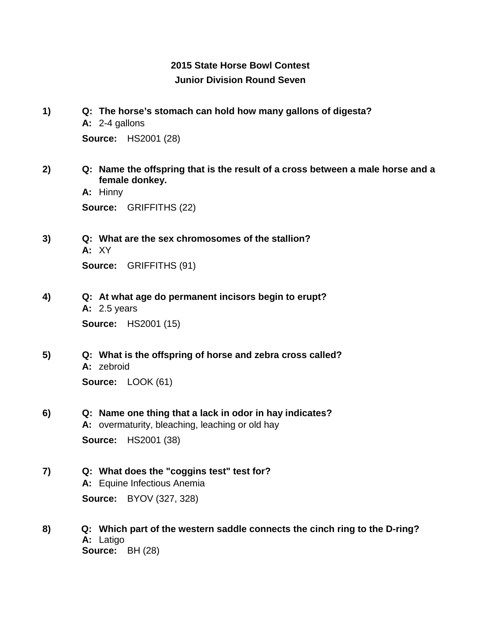## **2015 State Horse Bowl Contest Junior Division Round Seven**

- **1) Q: The horse's stomach can hold how many gallons of digesta? A:** 2-4 gallons **Source:** HS2001 (28)
- **2) Q: Name the offspring that is the result of a cross between a male horse and a female donkey.**

**A:** Hinny **Source:** GRIFFITHS (22)

- **3) Q: What are the sex chromosomes of the stallion? A:** XY **Source:** GRIFFITHS (91)
- **4) Q: At what age do permanent incisors begin to erupt? A:** 2.5 years **Source:** HS2001 (15)
- **5) Q: What is the offspring of horse and zebra cross called? A:** zebroid **Source:** LOOK (61)
- **6) Q: Name one thing that a lack in odor in hay indicates? A:** overmaturity, bleaching, leaching or old hay **Source:** HS2001 (38)
- **7) Q: What does the "coggins test" test for? A:** Equine Infectious Anemia **Source:** BYOV (327, 328)
- **8) Q: Which part of the western saddle connects the cinch ring to the D-ring? A:** Latigo **Source:** BH (28)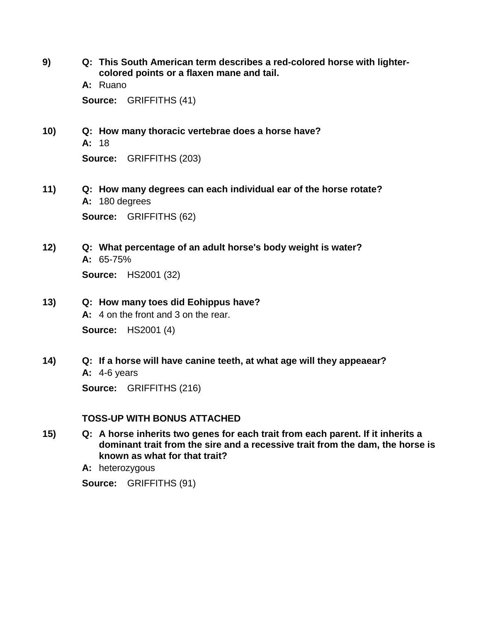**9) Q: This South American term describes a red-colored horse with lightercolored points or a flaxen mane and tail.**

> **A:** Ruano **Source:** GRIFFITHS (41)

- **10) Q: How many thoracic vertebrae does a horse have? A:** 18 **Source:** GRIFFITHS (203)
- **11) Q: How many degrees can each individual ear of the horse rotate? A:** 180 degrees **Source:** GRIFFITHS (62)
- **12) Q: What percentage of an adult horse's body weight is water? A:** 65-75%

**Source:** HS2001 (32)

**13) Q: How many toes did Eohippus have?**

**A:** 4 on the front and 3 on the rear.

**Source:** HS2001 (4)

**14) Q: If a horse will have canine teeth, at what age will they appeaear? A:** 4-6 years

**Source:** GRIFFITHS (216)

### **TOSS-UP WITH BONUS ATTACHED**

**15) Q: A horse inherits two genes for each trait from each parent. If it inherits a dominant trait from the sire and a recessive trait from the dam, the horse is known as what for that trait?**

**A:** heterozygous

**Source:** GRIFFITHS (91)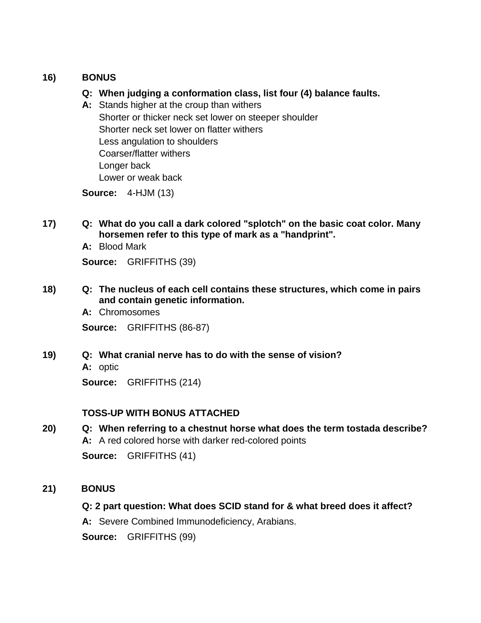### **16) BONUS**

- **Q: When judging a conformation class, list four (4) balance faults.**
- **A:** Stands higher at the croup than withers Shorter or thicker neck set lower on steeper shoulder Shorter neck set lower on flatter withers Less angulation to shoulders Coarser/flatter withers Longer back Lower or weak back

**Source:** 4-HJM (13)

- **17) Q: What do you call a dark colored "splotch" on the basic coat color. Many horsemen refer to this type of mark as a "handprint".**
	- **A:** Blood Mark

**Source:** GRIFFITHS (39)

- **18) Q: The nucleus of each cell contains these structures, which come in pairs and contain genetic information.**
	- **A:** Chromosomes

**Source:** GRIFFITHS (86-87)

**19) Q: What cranial nerve has to do with the sense of vision?**

**A:** optic

**Source:** GRIFFITHS (214)

## **TOSS-UP WITH BONUS ATTACHED**

**20) Q: When referring to a chestnut horse what does the term tostada describe? A:** A red colored horse with darker red-colored points

**Source:** GRIFFITHS (41)

## **21) BONUS**

**Q: 2 part question: What does SCID stand for & what breed does it affect?**

**A:** Severe Combined Immunodeficiency, Arabians.

**Source:** GRIFFITHS (99)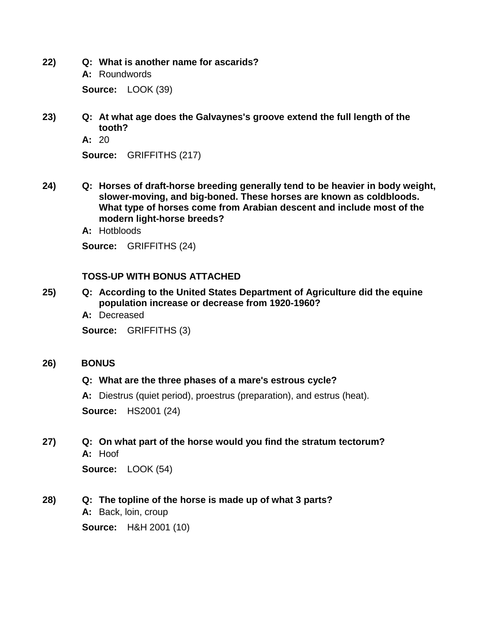- **22) Q: What is another name for ascarids? A:** Roundwords **Source:** LOOK (39)
- **23) Q: At what age does the Galvaynes's groove extend the full length of the tooth?**
	- **A:** 20

**Source:** GRIFFITHS (217)

- **24) Q: Horses of draft-horse breeding generally tend to be heavier in body weight, slower-moving, and big-boned. These horses are known as coldbloods. What type of horses come from Arabian descent and include most of the modern light-horse breeds?**
	- **A:** Hotbloods

**Source:** GRIFFITHS (24)

### **TOSS-UP WITH BONUS ATTACHED**

- **25) Q: According to the United States Department of Agriculture did the equine population increase or decrease from 1920-1960?**
	- **A:** Decreased

**Source:** GRIFFITHS (3)

#### **26) BONUS**

### **Q: What are the three phases of a mare's estrous cycle?**

**A:** Diestrus (quiet period), proestrus (preparation), and estrus (heat).

**Source:** HS2001 (24)

**27) Q: On what part of the horse would you find the stratum tectorum? A:** Hoof

**Source:** LOOK (54)

### **28) Q: The topline of the horse is made up of what 3 parts?**

**A:** Back, loin, croup

**Source:** H&H 2001 (10)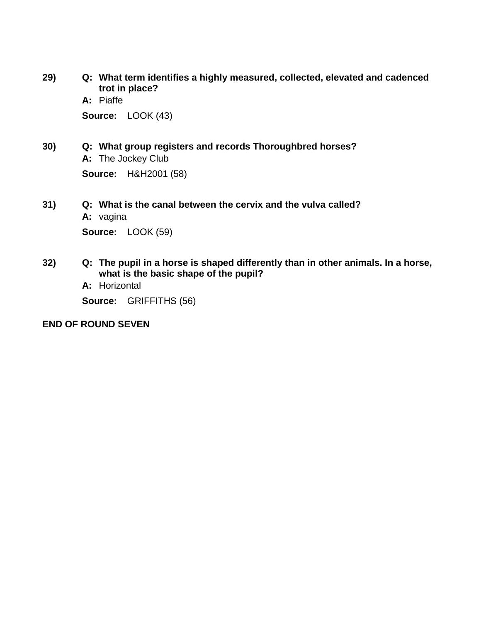- **29) Q: What term identifies a highly measured, collected, elevated and cadenced trot in place?**
	- **A:** Piaffe

**Source:** LOOK (43)

- **30) Q: What group registers and records Thoroughbred horses? A:** The Jockey Club **Source:** H&H2001 (58)
- **31) Q: What is the canal between the cervix and the vulva called?**
	- **A:** vagina

**Source:** LOOK (59)

- **32) Q: The pupil in a horse is shaped differently than in other animals. In a horse, what is the basic shape of the pupil?**
	- **A:** Horizontal

**Source:** GRIFFITHS (56)

### **END OF ROUND SEVEN**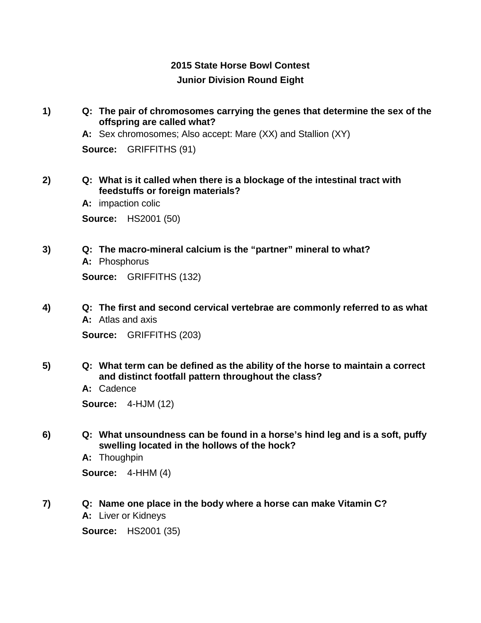## **2015 State Horse Bowl Contest Junior Division Round Eight**

**1) Q: The pair of chromosomes carrying the genes that determine the sex of the offspring are called what?**

**A:** Sex chromosomes; Also accept: Mare (XX) and Stallion (XY)

**Source:** GRIFFITHS (91)

- **2) Q: What is it called when there is a blockage of the intestinal tract with feedstuffs or foreign materials?**
	- **A:** impaction colic

**Source:** HS2001 (50)

**3) Q: The macro-mineral calcium is the "partner" mineral to what? A:** Phosphorus

**Source:** GRIFFITHS (132)

**4) Q: The first and second cervical vertebrae are commonly referred to as what A:** Atlas and axis

**Source:** GRIFFITHS (203)

- **5) Q: What term can be defined as the ability of the horse to maintain a correct and distinct footfall pattern throughout the class?**
	- **A:** Cadence

**Source:** 4-HJM (12)

**6) Q: What unsoundness can be found in a horse's hind leg and is a soft, puffy swelling located in the hollows of the hock?**

**A:** Thoughpin

**Source:** 4-HHM (4)

- **7) Q: Name one place in the body where a horse can make Vitamin C?**
	- **A:** Liver or Kidneys

**Source:** HS2001 (35)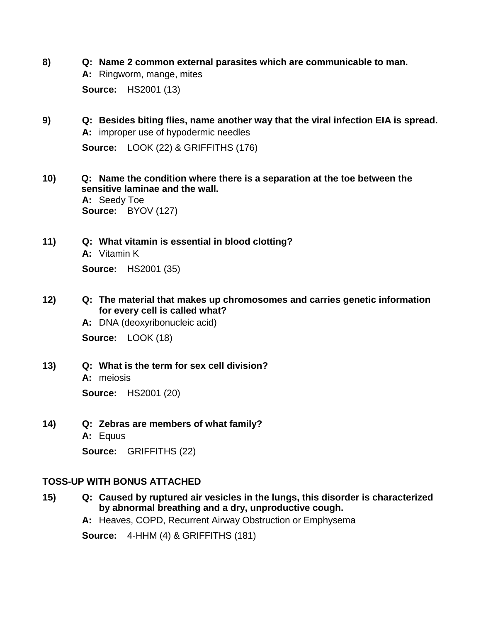- **8) Q: Name 2 common external parasites which are communicable to man. A:** Ringworm, mange, mites **Source:** HS2001 (13)
- **9) Q: Besides biting flies, name another way that the viral infection EIA is spread. A:** improper use of hypodermic needles **Source:** LOOK (22) & GRIFFITHS (176)
- **10) Q: Name the condition where there is a separation at the toe between the sensitive laminae and the wall. A:** Seedy Toe **Source:** BYOV (127)
- **11) Q: What vitamin is essential in blood clotting? A:** Vitamin K **Source:** HS2001 (35)
- **12) Q: The material that makes up chromosomes and carries genetic information for every cell is called what?**
	- **A:** DNA (deoxyribonucleic acid)

**Source:** LOOK (18)

**13) Q: What is the term for sex cell division?**

**A:** meiosis **Source:** HS2001 (20)

- **14) Q: Zebras are members of what family? A:** Equus
	-

**Source:** GRIFFITHS (22)

### **TOSS-UP WITH BONUS ATTACHED**

- **15) Q: Caused by ruptured air vesicles in the lungs, this disorder is characterized by abnormal breathing and a dry, unproductive cough.**
	- **A:** Heaves, COPD, Recurrent Airway Obstruction or Emphysema

**Source:** 4-HHM (4) & GRIFFITHS (181)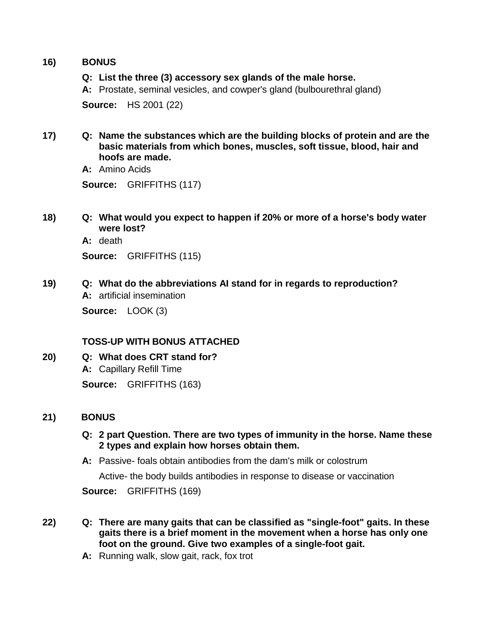### **16) BONUS**

### **Q: List the three (3) accessory sex glands of the male horse.**

**A:** Prostate, seminal vesicles, and cowper's gland (bulbourethral gland)

**Source:** HS 2001 (22)

**17) Q: Name the substances which are the building blocks of protein and are the basic materials from which bones, muscles, soft tissue, blood, hair and hoofs are made.**

**A:** Amino Acids

**Source:** GRIFFITHS (117)

**18) Q: What would you expect to happen if 20% or more of a horse's body water were lost?**

**A:** death

**Source:** GRIFFITHS (115)

**19) Q: What do the abbreviations AI stand for in regards to reproduction? A:** artificial insemination

**Source:** LOOK (3)

### **TOSS-UP WITH BONUS ATTACHED**

**20) Q: What does CRT stand for? A:** Capillary Refill Time **Source:** GRIFFITHS (163)

### **21) BONUS**

### **Q: 2 part Question. There are two types of immunity in the horse. Name these 2 types and explain how horses obtain them.**

**A:** Passive- foals obtain antibodies from the dam's milk or colostrum

Active- the body builds antibodies in response to disease or vaccination

**Source:** GRIFFITHS (169)

- **22) Q: There are many gaits that can be classified as "single-foot" gaits. In these gaits there is a brief moment in the movement when a horse has only one foot on the ground. Give two examples of a single-foot gait.**
	- **A:** Running walk, slow gait, rack, fox trot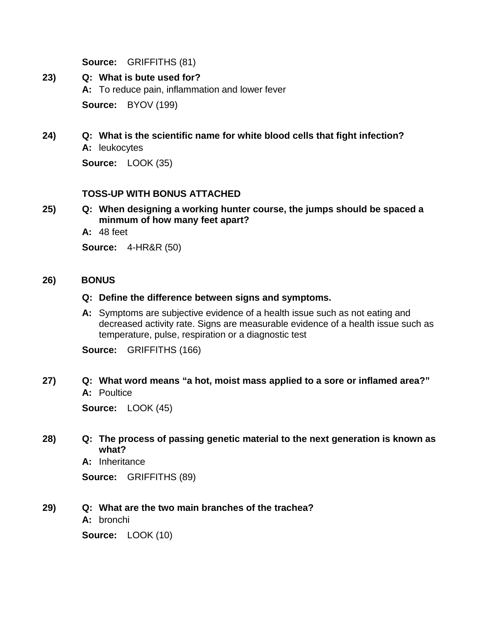**Source:** GRIFFITHS (81)

- **23) Q: What is bute used for? A:** To reduce pain, inflammation and lower fever **Source:** BYOV (199)
- **24) Q: What is the scientific name for white blood cells that fight infection? A:** leukocytes

**Source:** LOOK (35)

### **TOSS-UP WITH BONUS ATTACHED**

**25) Q: When designing a working hunter course, the jumps should be spaced a minmum of how many feet apart?**

**A:** 48 feet

**Source:** 4-HR&R (50)

### **26) BONUS**

### **Q: Define the difference between signs and symptoms.**

**A:** Symptoms are subjective evidence of a health issue such as not eating and decreased activity rate. Signs are measurable evidence of a health issue such as temperature, pulse, respiration or a diagnostic test

**Source:** GRIFFITHS (166)

### **27) Q: What word means "a hot, moist mass applied to a sore or inflamed area?" A:** Poultice

**Source:** LOOK (45)

### **28) Q: The process of passing genetic material to the next generation is known as what?**

**A:** Inheritance

**Source:** GRIFFITHS (89)

### **29) Q: What are the two main branches of the trachea?**

**A:** bronchi

**Source:** LOOK (10)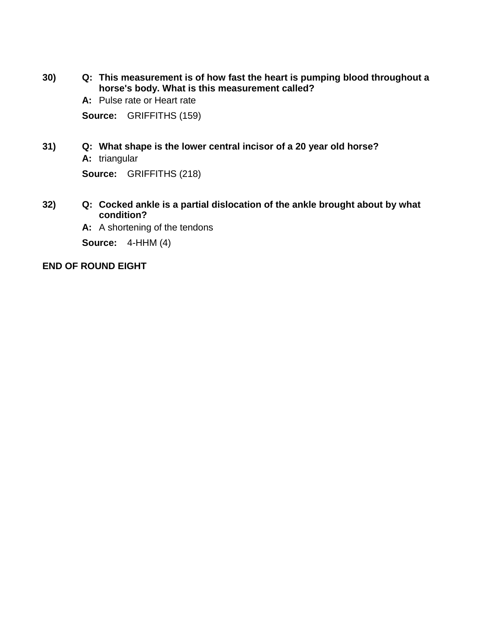- **30) Q: This measurement is of how fast the heart is pumping blood throughout a horse's body. What is this measurement called?**
	- **A:** Pulse rate or Heart rate

**Source:** GRIFFITHS (159)

**31) Q: What shape is the lower central incisor of a 20 year old horse? A:** triangular

**Source:** GRIFFITHS (218)

- **32) Q: Cocked ankle is a partial dislocation of the ankle brought about by what condition?**
	- **A:** A shortening of the tendons

**Source:** 4-HHM (4)

### **END OF ROUND EIGHT**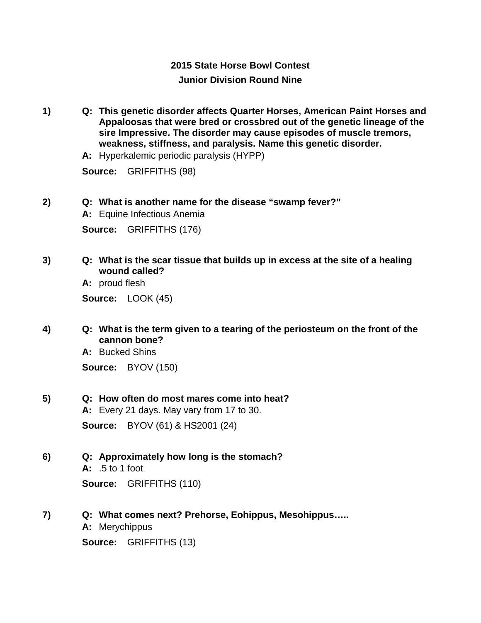## **2015 State Horse Bowl Contest Junior Division Round Nine**

- **1) Q: This genetic disorder affects Quarter Horses, American Paint Horses and Appaloosas that were bred or crossbred out of the genetic lineage of the sire Impressive. The disorder may cause episodes of muscle tremors, weakness, stiffness, and paralysis. Name this genetic disorder.**
	- **A:** Hyperkalemic periodic paralysis (HYPP)

**Source:** GRIFFITHS (98)

- **2) Q: What is another name for the disease "swamp fever?"**
	- **A:** Equine Infectious Anemia

**Source:** GRIFFITHS (176)

**3) Q: What is the scar tissue that builds up in excess at the site of a healing wound called?**

**A:** proud flesh

**Source:** LOOK (45)

**4) Q: What is the term given to a tearing of the periosteum on the front of the cannon bone?**

> **A:** Bucked Shins **Source:** BYOV (150)

**5) Q: How often do most mares come into heat?**

**A:** Every 21 days. May vary from 17 to 30. **Source:** BYOV (61) & HS2001 (24)

**6) Q: Approximately how long is the stomach?**

**A:** .5 to 1 foot **Source:** GRIFFITHS (110)

- **7) Q: What comes next? Prehorse, Eohippus, Mesohippus…..**
	- **A:** Merychippus

**Source:** GRIFFITHS (13)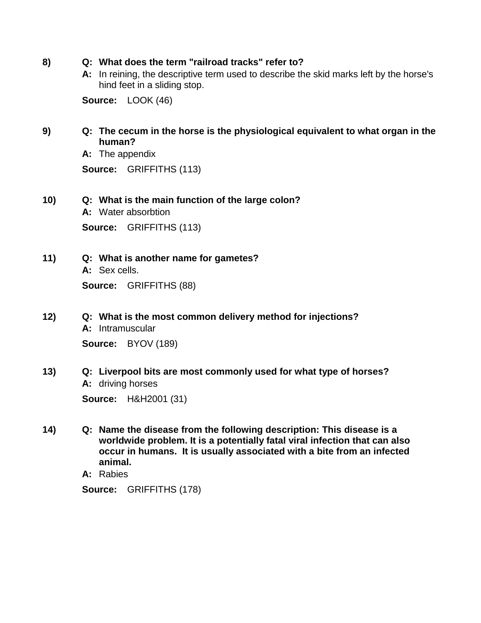- **8) Q: What does the term "railroad tracks" refer to?**
	- **A:** In reining, the descriptive term used to describe the skid marks left by the horse's hind feet in a sliding stop.

**Source:** LOOK (46)

- **9) Q: The cecum in the horse is the physiological equivalent to what organ in the human?**
	- **A:** The appendix

**Source:** GRIFFITHS (113)

- **10) Q: What is the main function of the large colon?**
	- **A:** Water absorbtion

**Source:** GRIFFITHS (113)

**11) Q: What is another name for gametes?**

**A:** Sex cells.

**Source:** GRIFFITHS (88)

- **12) Q: What is the most common delivery method for injections? A:** Intramuscular **Source:** BYOV (189)
- **13) Q: Liverpool bits are most commonly used for what type of horses? A:** driving horses **Source:** H&H2001 (31)

**14) Q: Name the disease from the following description: This disease is a worldwide problem. It is a potentially fatal viral infection that can also occur in humans. It is usually associated with a bite from an infected animal.**

**A:** Rabies

**Source:** GRIFFITHS (178)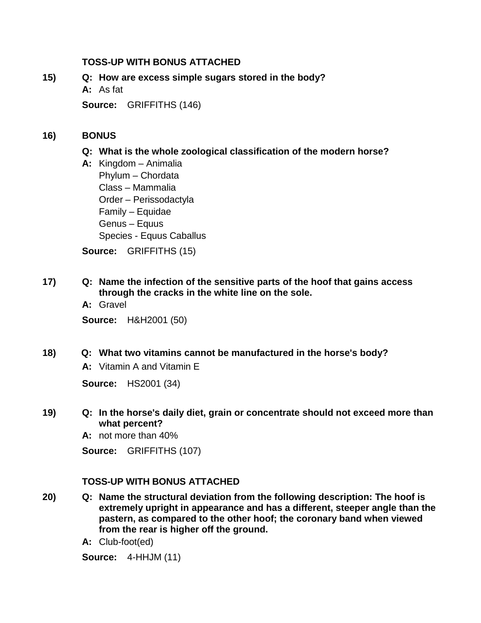### **TOSS-UP WITH BONUS ATTACHED**

### **15) Q: How are excess simple sugars stored in the body?**

**A:** As fat

**Source:** GRIFFITHS (146)

### **16) BONUS**

### **Q: What is the whole zoological classification of the modern horse?**

**A:** Kingdom – Animalia Phylum – Chordata Class – Mammalia Order – Perissodactyla Family – Equidae Genus – Equus Species - Equus Caballus

**Source:** GRIFFITHS (15)

- **17) Q: Name the infection of the sensitive parts of the hoof that gains access through the cracks in the white line on the sole.**
	- **A:** Gravel

**Source:** H&H2001 (50)

**18) Q: What two vitamins cannot be manufactured in the horse's body?**

**A:** Vitamin A and Vitamin E

**Source:** HS2001 (34)

- **19) Q: In the horse's daily diet, grain or concentrate should not exceed more than what percent?**
	- **A:** not more than 40%

**Source:** GRIFFITHS (107)

## **TOSS-UP WITH BONUS ATTACHED**

- **20) Q: Name the structural deviation from the following description: The hoof is extremely upright in appearance and has a different, steeper angle than the pastern, as compared to the other hoof; the coronary band when viewed from the rear is higher off the ground.**
	- **A:** Club-foot(ed)

**Source:** 4-HHJM (11)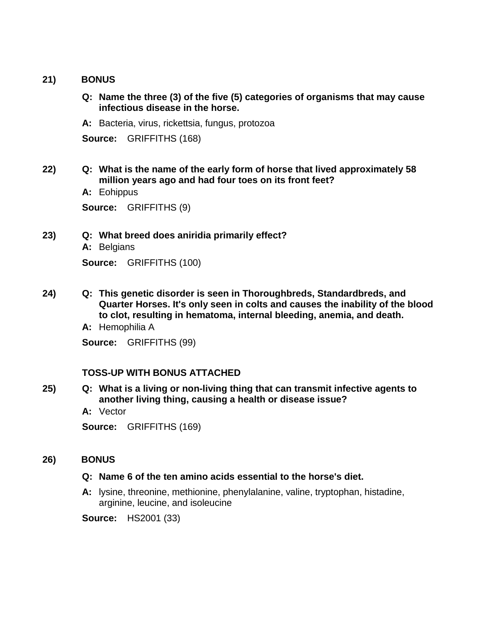### **21) BONUS**

- **Q: Name the three (3) of the five (5) categories of organisms that may cause infectious disease in the horse.**
- **A:** Bacteria, virus, rickettsia, fungus, protozoa

**Source:** GRIFFITHS (168)

- **22) Q: What is the name of the early form of horse that lived approximately 58 million years ago and had four toes on its front feet?**
	- **A:** Eohippus

**Source:** GRIFFITHS (9)

- **23) Q: What breed does aniridia primarily effect?**
	- **A:** Belgians

**Source:** GRIFFITHS (100)

**24) Q: This genetic disorder is seen in Thoroughbreds, Standardbreds, and Quarter Horses. It's only seen in colts and causes the inability of the blood to clot, resulting in hematoma, internal bleeding, anemia, and death.**

**A:** Hemophilia A

**Source:** GRIFFITHS (99)

### **TOSS-UP WITH BONUS ATTACHED**

**25) Q: What is a living or non-living thing that can transmit infective agents to another living thing, causing a health or disease issue?**

**A:** Vector

**Source:** GRIFFITHS (169)

## **26) BONUS**

## **Q: Name 6 of the ten amino acids essential to the horse's diet.**

**A:** lysine, threonine, methionine, phenylalanine, valine, tryptophan, histadine, arginine, leucine, and isoleucine

**Source:** HS2001 (33)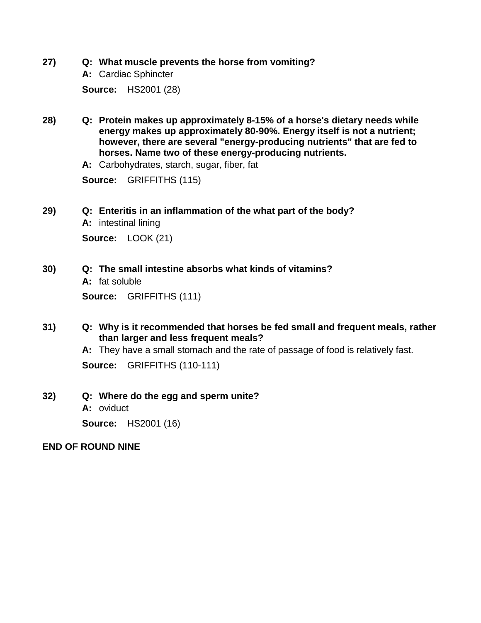- **27) Q: What muscle prevents the horse from vomiting?**
	- **A:** Cardiac Sphincter **Source:** HS2001 (28)
- **28) Q: Protein makes up approximately 8-15% of a horse's dietary needs while energy makes up approximately 80-90%. Energy itself is not a nutrient; however, there are several "energy-producing nutrients" that are fed to horses. Name two of these energy-producing nutrients.**

**A:** Carbohydrates, starch, sugar, fiber, fat

**Source:** GRIFFITHS (115)

### **29) Q: Enteritis in an inflammation of the what part of the body?**

**A:** intestinal lining **Source:** LOOK (21)

- **30) Q: The small intestine absorbs what kinds of vitamins?**
	- **A:** fat soluble

**Source:** GRIFFITHS (111)

**31) Q: Why is it recommended that horses be fed small and frequent meals, rather than larger and less frequent meals?**

**A:** They have a small stomach and the rate of passage of food is relatively fast.

**Source:** GRIFFITHS (110-111)

### **32) Q: Where do the egg and sperm unite?**

**A:** oviduct

**Source:** HS2001 (16)

### **END OF ROUND NINE**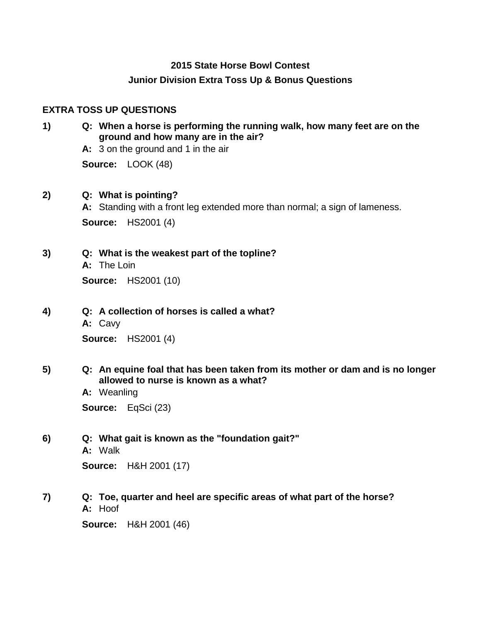#### **2015 State Horse Bowl Contest**

#### **Junior Division Extra Toss Up & Bonus Questions**

#### **EXTRA TOSS UP QUESTIONS**

- **1) Q: When a horse is performing the running walk, how many feet are on the ground and how many are in the air?**
	- **A:** 3 on the ground and 1 in the air

**Source:** LOOK (48)

#### **2) Q: What is pointing?**

**A:** Standing with a front leg extended more than normal; a sign of lameness. **Source:** HS2001 (4)

### **3) Q: What is the weakest part of the topline?**

**A:** The Loin **Source:** HS2001 (10)

#### **4) Q: A collection of horses is called a what?**

**A:** Cavy

**Source:** HS2001 (4)

### **5) Q: An equine foal that has been taken from its mother or dam and is no longer allowed to nurse is known as a what?**

**A:** Weanling **Source:** EqSci (23)

# **6) Q: What gait is known as the "foundation gait?"**

**A:** Walk

**Source:** H&H 2001 (17)

### **7) Q: Toe, quarter and heel are specific areas of what part of the horse? A:** Hoof

**Source:** H&H 2001 (46)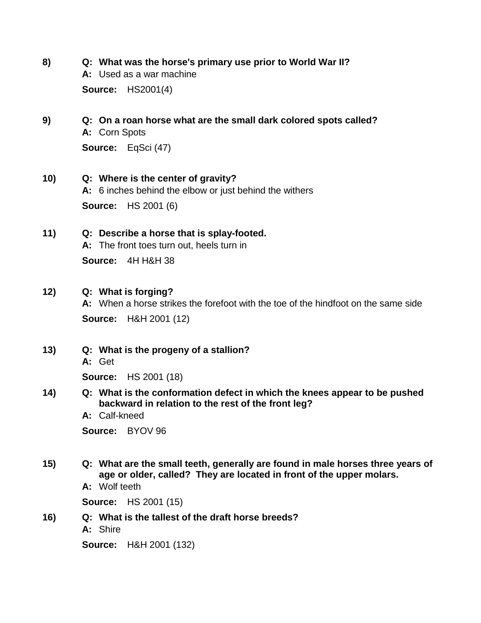**8) Q: What was the horse's primary use prior to World War II?**

**A:** Used as a war machine

**Source:** HS2001(4)

## **9) Q: On a roan horse what are the small dark colored spots called? A:** Corn Spots **Source:** EqSci (47)

- **10) Q: Where is the center of gravity? A:** 6 inches behind the elbow or just behind the withers **Source:** HS 2001 (6)
- **11) Q: Describe a horse that is splay-footed.**

**A:** The front toes turn out, heels turn in

**Source:** 4H H&H 38

### **12) Q: What is forging?**

**A:** When a horse strikes the forefoot with the toe of the hindfoot on the same side **Source:** H&H 2001 (12)

**13) Q: What is the progeny of a stallion?**

**A:** Get

**Source:** HS 2001 (18)

- **14) Q: What is the conformation defect in which the knees appear to be pushed backward in relation to the rest of the front leg?**
	- **A:** Calf-kneed

**Source:** BYOV 96

- **15) Q: What are the small teeth, generally are found in male horses three years of age or older, called? They are located in front of the upper molars.**
	- **A:** Wolf teeth

**Source:** HS 2001 (15)

**16) Q: What is the tallest of the draft horse breeds?**

**A:** Shire

**Source:** H&H 2001 (132)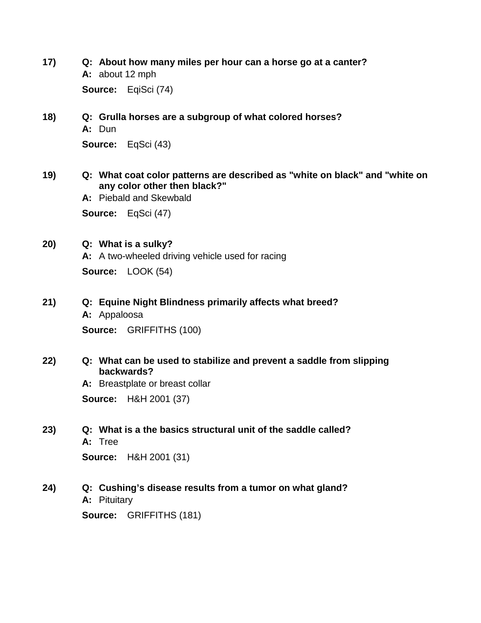**17) Q: About how many miles per hour can a horse go at a canter? A:** about 12 mph

**Source:** EqiSci (74)

- **18) Q: Grulla horses are a subgroup of what colored horses? A:** Dun **Source:** EqSci (43)
- **19) Q: What coat color patterns are described as "white on black" and "white on any color other then black?"**

**A:** Piebald and Skewbald **Source:** EqSci (47)

**20) Q: What is a sulky? A:** A two-wheeled driving vehicle used for racing **Source:** LOOK (54)

**21) Q: Equine Night Blindness primarily affects what breed?**

**A:** Appaloosa **Source:** GRIFFITHS (100)

**22) Q: What can be used to stabilize and prevent a saddle from slipping backwards?**

> **A:** Breastplate or breast collar **Source:** H&H 2001 (37)

**23) Q: What is a the basics structural unit of the saddle called? A:** Tree

**Source:** H&H 2001 (31)

**24) Q: Cushing's disease results from a tumor on what gland? A:** Pituitary

**Source:** GRIFFITHS (181)